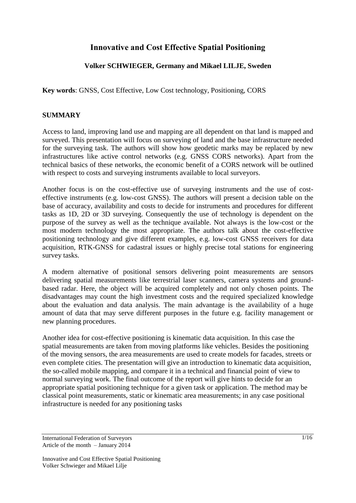# **Innovative and Cost Effective Spatial Positioning**

### **Volker SCHWIEGER, Germany and Mikael LILJE, Sweden**

**Key words**: GNSS, Cost Effective, Low Cost technology, Positioning, CORS

#### **SUMMARY**

Access to land, improving land use and mapping are all dependent on that land is mapped and surveyed. This presentation will focus on surveying of land and the base infrastructure needed for the surveying task. The authors will show how geodetic marks may be replaced by new infrastructures like active control networks (e.g. GNSS CORS networks). Apart from the technical basics of these networks, the economic benefit of a CORS network will be outlined with respect to costs and surveying instruments available to local surveyors.

Another focus is on the cost-effective use of surveying instruments and the use of costeffective instruments (e.g. low-cost GNSS). The authors will present a decision table on the base of accuracy, availability and costs to decide for instruments and procedures for different tasks as 1D, 2D or 3D surveying. Consequently the use of technology is dependent on the purpose of the survey as well as the technique available. Not always is the low-cost or the most modern technology the most appropriate. The authors talk about the cost-effective positioning technology and give different examples, e.g. low-cost GNSS receivers for data acquisition, RTK-GNSS for cadastral issues or highly precise total stations for engineering survey tasks.

A modern alternative of positional sensors delivering point measurements are sensors delivering spatial measurements like terrestrial laser scanners, camera systems and groundbased radar. Here, the object will be acquired completely and not only chosen points. The disadvantages may count the high investment costs and the required specialized knowledge about the evaluation and data analysis. The main advantage is the availability of a huge amount of data that may serve different purposes in the future e.g. facility management or new planning procedures.

Another idea for cost-effective positioning is kinematic data acquisition. In this case the spatial measurements are taken from moving platforms like vehicles. Besides the positioning of the moving sensors, the area measurements are used to create models for facades, streets or even complete cities. The presentation will give an introduction to kinematic data acquisition, the so-called mobile mapping, and compare it in a technical and financial point of view to normal surveying work. The final outcome of the report will give hints to decide for an appropriate spatial positioning technique for a given task or application. The method may be classical point measurements, static or kinematic area measurements; in any case positional infrastructure is needed for any positioning tasks

International Federation of Surveyors Article of the month – January 2014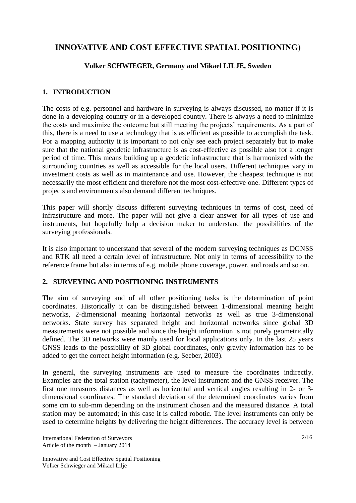# **INNOVATIVE AND COST EFFECTIVE SPATIAL POSITIONING)**

# **Volker SCHWIEGER, Germany and Mikael LILJE, Sweden**

## **1. INTRODUCTION**

The costs of e.g. personnel and hardware in surveying is always discussed, no matter if it is done in a developing country or in a developed country. There is always a need to minimize the costs and maximize the outcome but still meeting the projects' requirements. As a part of this, there is a need to use a technology that is as efficient as possible to accomplish the task. For a mapping authority it is important to not only see each project separately but to make sure that the national geodetic infrastructure is as cost-effective as possible also for a longer period of time. This means building up a geodetic infrastructure that is harmonized with the surrounding countries as well as accessible for the local users. Different techniques vary in investment costs as well as in maintenance and use. However, the cheapest technique is not necessarily the most efficient and therefore not the most cost-effective one. Different types of projects and environments also demand different techniques.

This paper will shortly discuss different surveying techniques in terms of cost, need of infrastructure and more. The paper will not give a clear answer for all types of use and instruments, but hopefully help a decision maker to understand the possibilities of the surveying professionals.

It is also important to understand that several of the modern surveying techniques as DGNSS and RTK all need a certain level of infrastructure. Not only in terms of accessibility to the reference frame but also in terms of e.g. mobile phone coverage, power, and roads and so on.

## **2. SURVEYING AND POSITIONING INSTRUMENTS**

The aim of surveying and of all other positioning tasks is the determination of point coordinates. Historically it can be distinguished between 1-dimensional meaning height networks, 2-dimensional meaning horizontal networks as well as true 3-dimensional networks. State survey has separated height and horizontal networks since global 3D measurements were not possible and since the height information is not purely geometrically defined. The 3D networks were mainly used for local applications only. In the last 25 years GNSS leads to the possibility of 3D global coordinates, only gravity information has to be added to get the correct height information (e.g. Seeber, 2003).

In general, the surveying instruments are used to measure the coordinates indirectly. Examples are the total station (tachymeter), the level instrument and the GNSS receiver. The first one measures distances as well as horizontal and vertical angles resulting in 2- or 3 dimensional coordinates. The standard deviation of the determined coordinates varies from some cm to sub-mm depending on the instrument chosen and the measured distance. A total station may be automated; in this case it is called robotic. The level instruments can only be used to determine heights by delivering the height differences. The accuracy level is between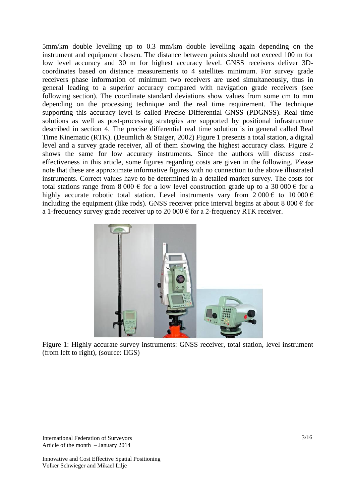5mm/km double levelling up to 0.3 mm/km double levelling again depending on the instrument and equipment chosen. The distance between points should not exceed 100 m for low level accuracy and 30 m for highest accuracy level. GNSS receivers deliver 3Dcoordinates based on distance measurements to 4 satellites minimum. For survey grade receivers phase information of minimum two receivers are used simultaneously, thus in general leading to a superior accuracy compared with navigation grade receivers (see following section). The coordinate standard deviations show values from some cm to mm depending on the processing technique and the real time requirement. The technique supporting this accuracy level is called Precise Differential GNSS (PDGNSS). Real time solutions as well as post-processing strategies are supported by positional infrastructure described in section 4. The precise differential real time solution is in general called Real Time Kinematic (RTK). (Deumlich & Staiger, 2002) Figure 1 presents a total station, a digital level and a survey grade receiver, all of them showing the highest accuracy class. Figure 2 shows the same for low accuracy instruments. Since the authors will discuss costeffectiveness in this article, some figures regarding costs are given in the following. Please note that these are approximate informative figures with no connection to the above illustrated instruments. Correct values have to be determined in a detailed market survey. The costs for total stations range from 8 000  $\epsilon$  for a low level construction grade up to a 30 000  $\epsilon$  for a highly accurate robotic total station. Level instruments vary from  $2\,000\,\epsilon$  to  $10\,000\,\epsilon$ including the equipment (like rods). GNSS receiver price interval begins at about 8 000  $\epsilon$  for a 1-frequency survey grade receiver up to 20 000  $\epsilon$  for a 2-frequency RTK receiver.



Figure 1: Highly accurate survey instruments: GNSS receiver, total station, level instrument (from left to right), (source: IIGS)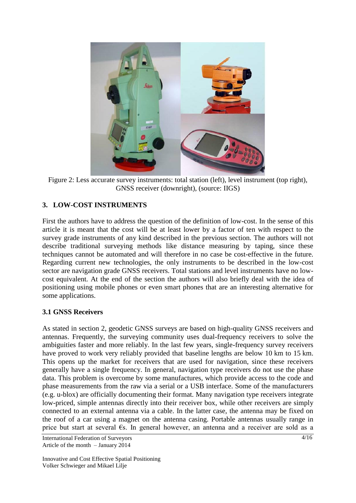

Figure 2: Less accurate survey instruments: total station (left), level instrument (top right), GNSS receiver (downright), (source: IIGS)

## **3. LOW-COST INSTRUMENTS**

First the authors have to address the question of the definition of low-cost. In the sense of this article it is meant that the cost will be at least lower by a factor of ten with respect to the survey grade instruments of any kind described in the previous section. The authors will not describe traditional surveying methods like distance measuring by taping, since these techniques cannot be automated and will therefore in no case be cost-effective in the future. Regarding current new technologies, the only instruments to be described in the low-cost sector are navigation grade GNSS receivers. Total stations and level instruments have no lowcost equivalent. At the end of the section the authors will also briefly deal with the idea of positioning using mobile phones or even smart phones that are an interesting alternative for some applications.

#### **3.1 GNSS Receivers**

As stated in section 2, geodetic GNSS surveys are based on high-quality GNSS receivers and antennas. Frequently, the surveying community uses dual-frequency receivers to solve the ambiguities faster and more reliably. In the last few years, single-frequency survey receivers have proved to work very reliably provided that baseline lengths are below 10 km to 15 km. This opens up the market for receivers that are used for navigation, since these receivers generally have a single frequency. In general, navigation type receivers do not use the phase data. This problem is overcome by some manufactures, which provide access to the code and phase measurements from the raw via a serial or a USB interface. Some of the manufacturers (e.g. u-blox) are officially documenting their format. Many navigation type receivers integrate low-priced, simple antennas directly into their receiver box, while other receivers are simply connected to an external antenna via a cable. In the latter case, the antenna may be fixed on the roof of a car using a magnet on the antenna casing. Portable antennas usually range in price but start at several €s. In general however, an antenna and a receiver are sold as a

International Federation of Surveyors Article of the month – January 2014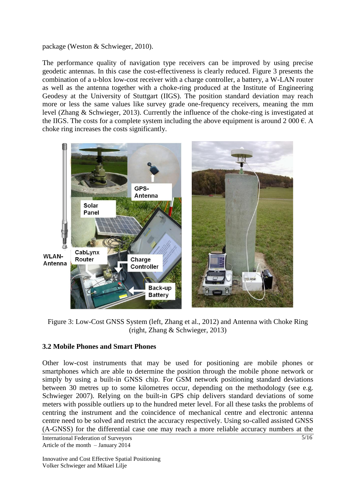#### package (Weston & Schwieger, 2010).

The performance quality of navigation type receivers can be improved by using precise geodetic antennas. In this case the cost-effectiveness is clearly reduced. Figure 3 presents the combination of a u-blox low-cost receiver with a charge controller, a battery, a W-LAN router as well as the antenna together with a choke-ring produced at the Institute of Engineering Geodesy at the University of Stuttgart (IIGS). The position standard deviation may reach more or less the same values like survey grade one-frequency receivers, meaning the mm level (Zhang & Schwieger, 2013). Currently the influence of the choke-ring is investigated at the IIGS. The costs for a complete system including the above equipment is around 2 000  $\epsilon$ . A choke ring increases the costs significantly.



Figure 3: Low-Cost GNSS System (left, Zhang et al., 2012) and Antenna with Choke Ring (right, Zhang & Schwieger, 2013)

## **3.2 Mobile Phones and Smart Phones**

Other low-cost instruments that may be used for positioning are mobile phones or smartphones which are able to determine the position through the mobile phone network or simply by using a built-in GNSS chip. For GSM network positioning standard deviations between 30 metres up to some kilometres occur, depending on the methodology (see e.g. Schwieger 2007). Relying on the built-in GPS chip delivers standard deviations of some meters with possible outliers up to the hundred meter level. For all these tasks the problems of centring the instrument and the coincidence of mechanical centre and electronic antenna centre need to be solved and restrict the accuracy respectively. Using so-called assisted GNSS (A-GNSS) for the differential case one may reach a more reliable accuracy numbers at the

International Federation of Surveyors Article of the month – January 2014

Innovative and Cost Effective Spatial Positioning Volker Schwieger and Mikael Lilje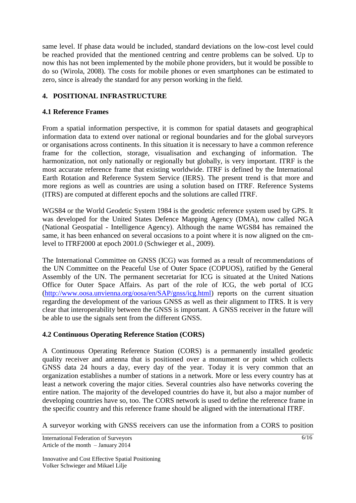same level. If phase data would be included, standard deviations on the low-cost level could be reached provided that the mentioned centring and centre problems can be solved. Up to now this has not been implemented by the mobile phone providers, but it would be possible to do so (Wirola, 2008). The costs for mobile phones or even smartphones can be estimated to zero, since is already the standard for any person working in the field.

# **4. POSITIONAL INFRASTRUCTURE**

#### **4.1 Reference Frames**

From a spatial information perspective, it is common for spatial datasets and geographical information data to extend over national or regional boundaries and for the global surveyors or organisations across continents. In this situation it is necessary to have a common reference frame for the collection, storage, visualisation and exchanging of information. The harmonization, not only nationally or regionally but globally, is very important. ITRF is the most accurate reference frame that existing worldwide. ITRF is defined by the International Earth Rotation and Reference System Service (IERS). The present trend is that more and more regions as well as countries are using a solution based on ITRF. Reference Systems (ITRS) are computed at different epochs and the solutions are called ITRF.

WGS84 or the World Geodetic System 1984 is the geodetic reference system used by GPS. It was developed for the United States Defence Mapping Agency (DMA), now called NGA (National Geospatial - Intelligence Agency). Although the name WGS84 has remained the same, it has been enhanced on several occasions to a point where it is now aligned on the cmlevel to ITRF2000 at epoch 2001.0 (Schwieger et al., 2009).

The International Committee on GNSS (ICG) was formed as a result of recommendations of the UN Committee on the Peaceful Use of Outer Space (COPUOS), ratified by the General Assembly of the UN. The permanent secretariat for ICG is situated at the United Nations Office for Outer Space Affairs. As part of the role of ICG, the web portal of ICG [\(http://www.oosa.unvienna.org/oosa/en/SAP/gnss/icg.html\)](http://www.oosa.unvienna.org/oosa/en/SAP/gnss/icg.html) reports on the current situation regarding the development of the various GNSS as well as their alignment to ITRS. It is very clear that interoperability between the GNSS is important. A GNSS receiver in the future will be able to use the signals sent from the different GNSS.

## **4.2 Continuous Operating Reference Station (CORS)**

A Continuous Operating Reference Station (CORS) is a permanently installed geodetic quality receiver and antenna that is positioned over a monument or point which collects GNSS data 24 hours a day, every day of the year. Today it is very common that an organization establishes a number of stations in a network. More or less every country has at least a network covering the major cities. Several countries also have networks covering the entire nation. The majority of the developed countries do have it, but also a major number of developing countries have so, too. The CORS network is used to define the reference frame in the specific country and this reference frame should be aligned with the international ITRF.

A surveyor working with GNSS receivers can use the information from a CORS to position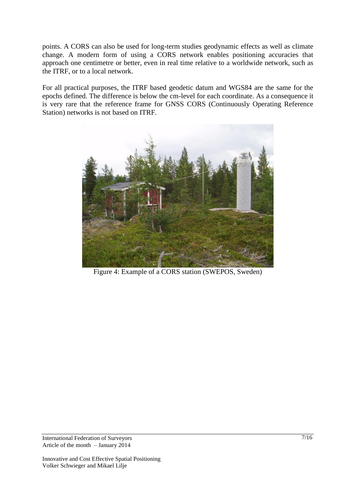points. A CORS can also be used for long-term studies geodynamic effects as well as climate change. A modern form of using a CORS network enables positioning accuracies that approach one centimetre or better, even in real time relative to a worldwide network, such as the ITRF, or to a local network.

For all practical purposes, the ITRF based geodetic datum and WGS84 are the same for the epochs defined. The difference is below the cm-level for each coordinate. As a consequence it is very rare that the reference frame for GNSS CORS (Continuously Operating Reference Station) networks is not based on ITRF.



Figure 4: Example of a CORS station (SWEPOS, Sweden)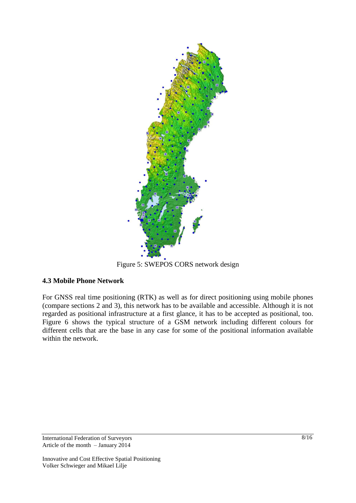

Figure 5: SWEPOS CORS network design

## **4.3 Mobile Phone Network**

For GNSS real time positioning (RTK) as well as for direct positioning using mobile phones (compare sections 2 and 3), this network has to be available and accessible. Although it is not regarded as positional infrastructure at a first glance, it has to be accepted as positional, too. Figure 6 shows the typical structure of a GSM network including different colours for different cells that are the base in any case for some of the positional information available within the network.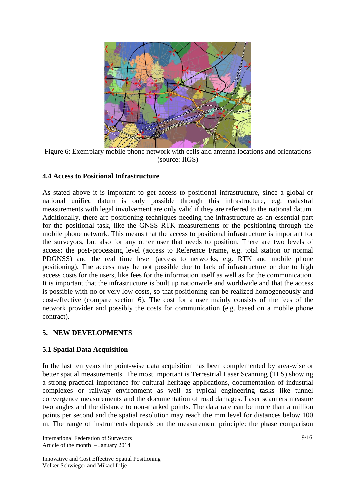

Figure 6: Exemplary mobile phone network with cells and antenna locations and orientations (source: IIGS)

#### **4.4 Access to Positional Infrastructure**

As stated above it is important to get access to positional infrastructure, since a global or national unified datum is only possible through this infrastructure, e.g. cadastral measurements with legal involvement are only valid if they are referred to the national datum. Additionally, there are positioning techniques needing the infrastructure as an essential part for the positional task, like the GNSS RTK measurements or the positioning through the mobile phone network. This means that the access to positional infrastructure is important for the surveyors, but also for any other user that needs to position. There are two levels of access: the post-processing level (access to Reference Frame, e.g. total station or normal PDGNSS) and the real time level (access to networks, e.g. RTK and mobile phone positioning). The access may be not possible due to lack of infrastructure or due to high access costs for the users, like fees for the information itself as well as for the communication. It is important that the infrastructure is built up nationwide and worldwide and that the access is possible with no or very low costs, so that positioning can be realized homogeneously and cost-effective (compare section 6). The cost for a user mainly consists of the fees of the network provider and possibly the costs for communication (e.g. based on a mobile phone contract).

#### **5. NEW DEVELOPMENTS**

## **5.1 Spatial Data Acquisition**

In the last ten years the point-wise data acquisition has been complemented by area-wise or better spatial measurements. The most important is Terrestrial Laser Scanning (TLS) showing a strong practical importance for cultural heritage applications, documentation of industrial complexes or railway environment as well as typical engineering tasks like tunnel convergence measurements and the documentation of road damages. Laser scanners measure two angles and the distance to non-marked points. The data rate can be more than a million points per second and the spatial resolution may reach the mm level for distances below 100 m. The range of instruments depends on the measurement principle: the phase comparison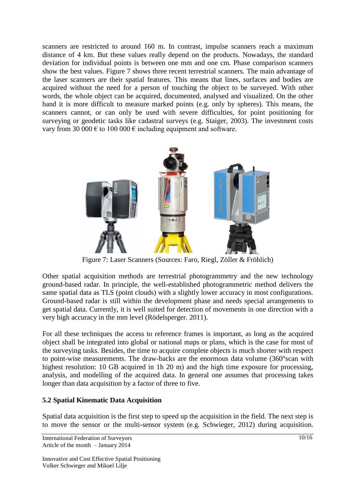scanners are restricted to around 160 m. In contrast, impulse scanners reach a maximum distance of 4 km. But these values really depend on the products. Nowadays, the standard deviation for individual points is between one mm and one cm. Phase comparison scanners show the best values. Figure 7 shows three recent terrestrial scanners. The main advantage of the laser scanners are their spatial features. This means that lines, surfaces and bodies are acquired without the need for a person of touching the object to be surveyed. With other words, the whole object can be acquired, documented, analysed and visualized. On the other hand it is more difficult to measure marked points (e.g. only by spheres). This means, the scanners cannot, or can only be used with severe difficulties, for point positioning for surveying or geodetic tasks like cadastral surveys (e.g. Staiger, 2003). The investment costs vary from 30 000  $\epsilon$  to 100 000  $\epsilon$  including equipment and software.



Figure 7: Laser Scanners (Sources: Faro, Riegl, Zöller & Fröhlich)

Other spatial acquisition methods are terrestrial photogrammetry and the new technology ground-based radar. In principle, the well-established photogrammetric method delivers the same spatial data as TLS (point clouds) with a slightly lower accuracy in most configurations. Ground-based radar is still within the development phase and needs special arrangements to get spatial data. Currently, it is well suited for detection of movements in one direction with a very high accuracy in the mm level (Rödelsperger. 2011).

For all these techniques the access to reference frames is important, as long as the acquired object shall be integrated into global or national maps or plans, which is the case for most of the surveying tasks. Besides, the time to acquire complete objects is much shorter with respect to point-wise measurements. The draw-backs are the enormous data volume (360°scan with highest resolution: 10 GB acquired in 1h 20 m) and the high time exposure for processing, analysis, and modelling of the acquired data. In general one assumes that processing takes longer than data acquisition by a factor of three to five.

#### **5.2 Spatial Kinematic Data Acquisition**

Spatial data acquisition is the first step to speed up the acquisition in the field. The next step is to move the sensor or the multi-sensor system (e.g. Schwieger, 2012) during acquisition.

```
International Federation of Surveyors
Article of the month – January 2014
```
Innovative and Cost Effective Spatial Positioning Volker Schwieger and Mikael Lilje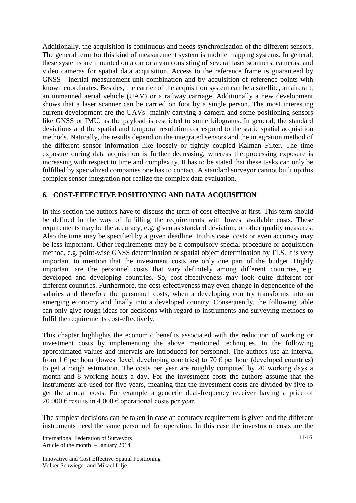Additionally, the acquisition is continuous and needs synchronisation of the different sensors. The general term for this kind of measurement system is mobile mapping systems. In general, these systems are mounted on a car or a van consisting of several laser scanners, cameras, and video cameras for spatial data acquisition. Access to the reference frame is guaranteed by GNSS - inertial measurement unit combination and by acquisition of reference points with known coordinates. Besides, the carrier of the acquisition system can be a satellite, an aircraft, an unmanned aerial vehicle (UAV) or a railway carriage. Additionally a new development shows that a laser scanner can be carried on foot by a single person. The most interesting current development are the UAVs mainly carrying a camera and some positioning sensors like GNSS or IMU, as the payload is restricted to some kilograms. In general, the standard deviations and the spatial and temporal resolution correspond to the static spatial acquisition methods. Naturally, the results depend on the integrated sensors and the integration method of the different sensor information like loosely or tightly coupled Kalman Filter. The time exposure during data acquisition is further decreasing, whereas the processing exposure is increasing with respect to time and complexity. It has to be stated that these tasks can only be fulfilled by specialized companies one has to contact. A standard surveyor cannot built up this complex sensor integration nor realize the complex data evaluation.

## **6. COST-EFFECTIVE POSITIONING AND DATA ACQUISITION**

In this section the authors have to discuss the term of cost-effective at first. This term should be defined in the way of fulfilling the requirements with lowest available costs. These requirements may be the accuracy, e.g. given as standard deviation, or other quality measures. Also the time may be specified by a given deadline. In this case, costs or even accuracy may be less important. Other requirements may be a compulsory special procedure or acquisition method, e.g. point-wise GNSS determination or spatial object determination by TLS. It is very important to mention that the investment costs are only one part of the budget. Highly important are the personnel costs that vary definitely among different countries, e.g. developed and developing countries. So, cost-effectiveness may look quite different for different countries. Furthermore, the cost-effectiveness may even change in dependence of the salaries and therefore the personnel costs, when a developing country transforms into an emerging economy and finally into a developed country. Consequently, the following table can only give rough ideas for decisions with regard to instruments and surveying methods to fulfil the requirements cost-effectively.

This chapter highlights the economic benefits associated with the reduction of working or investment costs by implementing the above mentioned techniques. In the following approximated values and intervals are introduced for personnel. The authors use an interval from 1  $\epsilon$  per hour (lowest level, developing countries) to 70  $\epsilon$  per hour (developed countries) to get a rough estimation. The costs per year are roughly computed by 20 working days a month and 8 working hours a day. For the investment costs the authors assume that the instruments are used for five years, meaning that the investment costs are divided by five to get the annual costs. For example a geodetic dual-frequency receiver having a price of 20 000  $\epsilon$  results in 4 000  $\epsilon$  operational costs per year.

The simplest decisions can be taken in case an accuracy requirement is given and the different instruments need the same personnel for operation. In this case the investment costs are the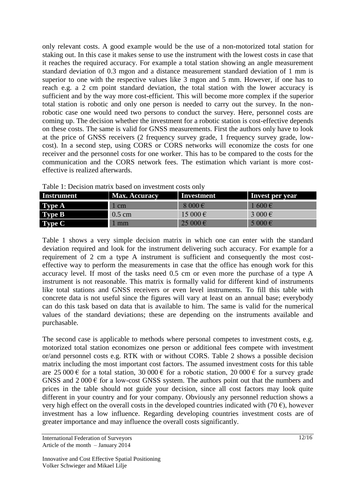only relevant costs. A good example would be the use of a non-motorized total station for staking out. In this case it makes sense to use the instrument with the lowest costs in case that it reaches the required accuracy. For example a total station showing an angle measurement standard deviation of 0.3 mgon and a distance measurement standard deviation of 1 mm is superior to one with the respective values like 3 mgon and 5 mm. However, if one has to reach e.g. a 2 cm point standard deviation, the total station with the lower accuracy is sufficient and by the way more cost-efficient. This will become more complex if the superior total station is robotic and only one person is needed to carry out the survey. In the nonrobotic case one would need two persons to conduct the survey. Here, personnel costs are coming up. The decision whether the investment for a robotic station is cost-effective depends on these costs. The same is valid for GNSS measurements. First the authors only have to look at the price of GNSS receivers (2 frequency survey grade, 1 frequency survey grade, lowcost). In a second step, using CORS or CORS networks will economize the costs for one receiver and the personnel costs for one worker. This has to be compared to the costs for the communication and the CORS network fees. The estimation which variant is more costeffective is realized afterwards.

| Instrument    | <b>Max. Accuracy</b> | <b>Investment</b> | Invest per year  |
|---------------|----------------------|-------------------|------------------|
| <b>Type A</b> | cm                   | $8000 \in$        | $600 \in$        |
| <b>Type B</b> | $0.5 \text{ cm}$     | $15000 \in$       | 3 000 $\epsilon$ |
| <b>Type C</b> | mm                   | 25000€            | 5 000 €          |

Table 1: Decision matrix based on investment costs only

Table 1 shows a very simple decision matrix in which one can enter with the standard deviation required and look for the instrument delivering such accuracy. For example for a requirement of 2 cm a type A instrument is sufficient and consequently the most costeffective way to perform the measurements in case that the office has enough work for this accuracy level. If most of the tasks need 0.5 cm or even more the purchase of a type A instrument is not reasonable. This matrix is formally valid for different kind of instruments like total stations and GNSS receivers or even level instruments. To fill this table with concrete data is not useful since the figures will vary at least on an annual base; everybody can do this task based on data that is available to him. The same is valid for the numerical values of the standard deviations; these are depending on the instruments available and purchasable.

The second case is applicable to methods where personal competes to investment costs, e.g. motorized total station economizes one person or additional fees compete with investment or/and personnel costs e.g. RTK with or without CORS. Table 2 shows a possible decision matrix including the most important cost factors. The assumed investment costs for this table are 25 000  $\epsilon$  for a total station, 30 000  $\epsilon$  for a robotic station, 20 000  $\epsilon$  for a survey grade GNSS and  $2000 \in$  for a low-cost GNSS system. The authors point out that the numbers and prices in the table should not guide your decision, since all cost factors may look quite different in your country and for your company. Obviously any personnel reduction shows a very high effect on the overall costs in the developed countries indicated with (70  $\epsilon$ ), however investment has a low influence. Regarding developing countries investment costs are of greater importance and may influence the overall costs significantly.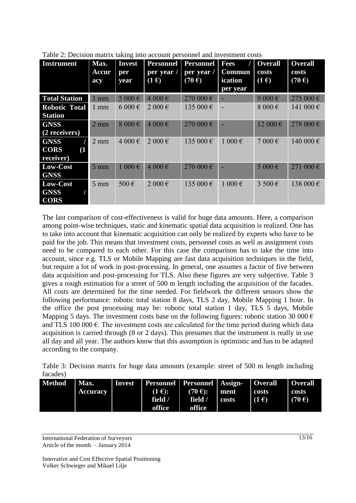| <b>Instrument</b>                              | Max.<br>Accur<br>acy | <b>Invest</b><br>per<br>year | <b>Personnel</b><br>per year /<br>$(1 \epsilon)$ | <b>Personnel</b><br>per year /<br>$(70 \epsilon)$ | <b>Fees</b><br><b>Commun</b><br>ication<br>per year | <b>Overall</b><br>costs<br>$(1 \epsilon)$ | <b>Overall</b><br>costs<br>$(70 \epsilon)$ |
|------------------------------------------------|----------------------|------------------------------|--------------------------------------------------|---------------------------------------------------|-----------------------------------------------------|-------------------------------------------|--------------------------------------------|
| <b>Total Station</b>                           | mm                   | 5 000€                       | 4 000€                                           | 270 000 €                                         | ÷                                                   | 9 000€                                    | 275 000 €                                  |
| <b>Robotic Total</b><br><b>Station</b>         | $1 \text{ mm}$       | $6000 \in$                   | $2000 \in$                                       | 135000€                                           | L,                                                  | $8000 \in$                                | 141 000 €                                  |
| <b>GNSS</b><br>(2 receivers)                   | $2 \text{ mm}$       | $8000 \in$                   | 4000€                                            | 270 000 €                                         |                                                     | 12 000€                                   | 278 000 €                                  |
| <b>GNSS</b><br><b>CORS</b><br>(1)<br>receiver) | $2 \text{ mm}$       | 4000€                        | 2000€                                            | 135 000 €                                         | $1000 \in$                                          | 7 000 $\epsilon$                          | 140 000 €                                  |
| <b>Low-Cost</b><br><b>GNSS</b>                 | $5 \text{ mm}$       | $1000 \in$                   | 4000€                                            | 270 000 €                                         |                                                     | 5 000 €                                   | 271 000 €                                  |
| <b>Low-Cost</b><br><b>GNSS</b><br><b>CORS</b>  | $5 \text{ mm}$       | 500€                         | 2000€                                            | 135 000 €                                         | 1 000 $\in$                                         | $3500 \in$                                | 138 000 €                                  |

Table 2: Decision matrix taking into account personnel and investment costs

The last comparison of cost-effectiveness is valid for huge data amounts. Here, a comparison among point-wise techniques, static and kinematic spatial data acquisition is realized. One has to take into account that kinematic acquisition can only be realized by experts who have to be paid for the job. This means that investment costs, personnel costs as well as assignment costs need to be compared to each other. For this case the comparison has to take the time into account, since e.g. TLS or Mobile Mapping are fast data acquisition techniques in the field, but require a lot of work in post-processing. In general, one assumes a factor of five between data acquisition and post-processing for TLS. Also these figures are very subjective. Table 3 gives a rough estimation for a street of 500 m length including the acquisition of the facades. All costs are determined for the time needed. For fieldwork the different sensors show the following performance: robotic total station 8 days, TLS 2 day, Mobile Mapping 1 hour. In the office the post processing may be: robotic total station 1 day, TLS 5 days, Mobile Mapping 5 days. The investment costs base on the following figures: robotic station 30 000  $\epsilon$ and TLS 100 000  $\epsilon$ . The investment costs are calculated for the time period during which data acquisition is carried through (8 or 2 days). This presumes that the instrument is really in use all day and all year. The authors know that this assumption is optimistic and has to be adapted according to the company.

Table 3: Decision matrix for huge data amounts (example: street of 500 m length including facades)

| <b>Method</b> | Max.            | <b>Invest</b> |                  | Personnel Personnel Assign- |        | <b>Overall</b> | <b>Overall</b>  |
|---------------|-----------------|---------------|------------------|-----------------------------|--------|----------------|-----------------|
|               | <b>Accuracy</b> |               | $(1 \epsilon)$ : | $(70 \in )$ :               | l ment | costs          | costs           |
|               |                 |               | field /          | field /                     | costs  | $(1 \epsilon)$ | $(70 \epsilon)$ |
|               |                 |               | office           | office                      |        |                |                 |

International Federation of Surveyors Article of the month – January 2014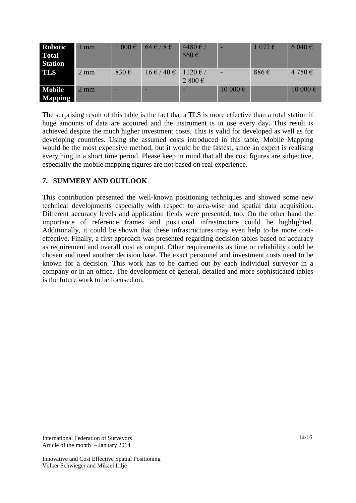| Robotic        | $\mathop{\rm mm}$ | $1000 \in$ | $64 \in 86$      | 4480€                           |        | $1072 \in$ | $6040 \in$ |
|----------------|-------------------|------------|------------------|---------------------------------|--------|------------|------------|
| <b>Total</b>   |                   |            |                  | $560 \in$                       |        |            |            |
| <b>Station</b> |                   |            |                  |                                 |        |            |            |
| <b>TLS</b>     | $2 \text{ mm}$    | $830 \in$  | $16 \in 740 \in$ | $1120 \text{ } \in \mathcal{V}$ | -      | $886 \in$  | 4750€      |
|                |                   |            |                  | 2 800 €                         |        |            |            |
| <b>Mobile</b>  | $2 \text{ mm}$    | -          | -                |                                 | 10000€ |            | 10000€     |
| <b>Mapping</b> |                   |            |                  |                                 |        |            |            |

The surprising result of this table is the fact that a TLS is more effective than a total station if huge amounts of data are acquired and the instrument is in use every day. This result is achieved despite the much higher investment costs. This is valid for developed as well as for developing countries. Using the assumed costs introduced in this table, Mobile Mapping would be the most expensive method, but it would be the fastest, since an expert is realising everything in a short time period. Please keep in mind that all the cost figures are subjective, especially the mobile mapping figures are not based on real experience.

#### **7. SUMMERY AND OUTLOOK**

This contribution presented the well-known positioning techniques and showed some new technical developments especially with respect to area-wise and spatial data acquisition. Different accuracy levels and application fields were presented, too. On the other hand the importance of reference frames and positional infrastructure could be highlighted. Additionally, it could be shown that these infrastructures may even help to be more costeffective. Finally, a first approach was presented regarding decision tables based on accuracy as requirement and overall cost as output. Other requirements as time or reliability could be chosen and need another decision base. The exact personnel and investment costs need to be known for a decision. This work has to be carried out by each individual surveyor in a company or in an office. The development of general, detailed and more sophisticated tables is the future work to be focused on.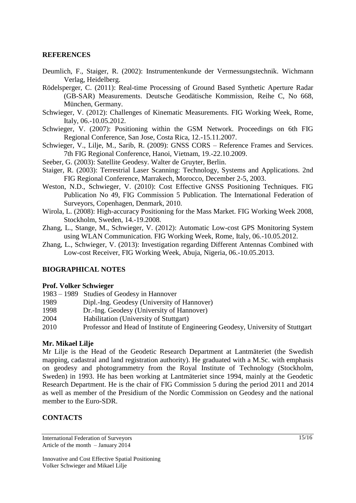#### **REFERENCES**

- Deumlich, F., Staiger, R. (2002): Instrumentenkunde der Vermessungstechnik. Wichmann Verlag, Heidelberg.
- Rödelsperger, C. (2011): Real-time Processing of Ground Based Synthetic Aperture Radar (GB-SAR) Measurements. Deutsche Geodätische Kommission, Reihe C, No 668, München, Germany.
- Schwieger, V. (2012): Challenges of Kinematic Measurements. FIG Working Week, Rome, Italy, 06.-10.05.2012.
- Schwieger, V. (2007): Positioning within the GSM Network. Proceedings on 6th FIG Regional Conference, San Jose, Costa Rica, 12.-15.11.2007.
- Schwieger, V., Lilje, M., Sarib, R. (2009): GNSS CORS Reference Frames and Services. 7th FIG Regional Conference, Hanoi, Vietnam, 19.-22.10.2009.
- Seeber, G. (2003): Satellite Geodesy. Walter de Gruyter, Berlin.
- Staiger, R. (2003): Terrestrial Laser Scanning: Technology, Systems and Applications. 2nd FIG Regional Conference, Marrakech, Morocco, December 2-5, 2003.
- Weston, N.D., Schwieger, V. (2010): Cost Effective GNSS Positioning Techniques. FIG Publication No 49, FIG Commission 5 Publication. The International Federation of Surveyors, Copenhagen, Denmark, 2010.
- Wirola, L. (2008): High-accuracy Positioning for the Mass Market. FIG Working Week 2008, Stockholm, Sweden, 14.-19.2008.
- Zhang, L., Stange, M., Schwieger, V. (2012): Automatic Low-cost GPS Monitoring System using WLAN Communication. FIG Working Week, Rome, Italy, 06.-10.05.2012.
- Zhang, L., Schwieger, V. (2013): Investigation regarding Different Antennas Combined with Low-cost Receiver, FIG Working Week, Abuja, Nigeria, 06.-10.05.2013.

#### **BIOGRAPHICAL NOTES**

#### **Prof. Volker Schwieger**

- 1983 1989 Studies of Geodesy in Hannover
- 1989 Dipl.-Ing. Geodesy (University of Hannover)
- 1998 Dr.-Ing. Geodesy (University of Hannover)
- 2004 Habilitation (University of Stuttgart)
- 2010 Professor and Head of Institute of Engineering Geodesy, University of Stuttgart

#### **Mr. Mikael Lilje**

Mr Lilje is the Head of the Geodetic Research Department at Lantmäteriet (the Swedish mapping, cadastral and land registration authority). He graduated with a M.Sc. with emphasis on geodesy and photogrammetry from the Royal Institute of Technology (Stockholm, Sweden) in 1993. He has been working at Lantmäteriet since 1994, mainly at the Geodetic Research Department. He is the chair of FIG Commission 5 during the period 2011 and 2014 as well as member of the Presidium of the Nordic Commission on Geodesy and the national member to the Euro-SDR.

#### **CONTACTS**

International Federation of Surveyors Article of the month – January 2014